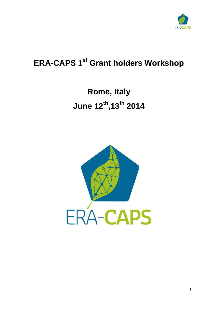

# **ERA-CAPS 1 st Grant holders Workshop**

**Rome, Italy June 12th ,13th 2014**

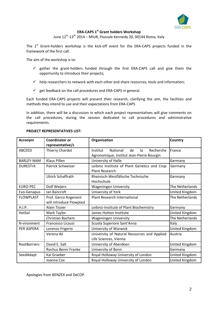

#### **ERA-CAPS 1 st Grant holders Workshop**

June 12<sup>th</sup>-13<sup>th</sup> 2014 – MIUR, Piazzale Kennedy 20, 00144 Roma, Italy

The  $1^{st}$  Grant-holders workshop is the kick-off event for the ERA-CAPS projects funded in the framework of the first call.

The aim of the workshop is to:

- $\checkmark$  gather the grant-holders funded through the first ERA-CAPS call and give them the opportunity to introduce their projects;
- $\checkmark$  help researchers to network with each other and share resources, tools and information;
- $\checkmark$  get feedback on the call procedures and ERA-CAPS in general.

Each funded ERA-CAPS projects will present their research, clarifying the aim, the facilities and methods they intend to use and their expectations from ERA-CAPS

In addition, there will be a discussion in which each project representatives will give comments on the call procedures, during the session dedicated to call procedures and administrative requirements.

| <b>Acronym</b>      | <b>Coordinator or</b><br>representative/s        | Organisation                                                                                      | Country         |
|---------------------|--------------------------------------------------|---------------------------------------------------------------------------------------------------|-----------------|
| <b>ABCEED</b>       | Thierry Chardot                                  | Recherche<br>Institut<br><b>National</b><br>de<br>la<br>Agronomique, Institut Jean-Pierre Bourgin | France          |
| <b>BARLEY-NAM</b>   | <b>Klaus Pillen</b>                              | University of Halle                                                                               | Germany         |
| <b>DURESTrit</b>    | Patrick Schweizer                                | Leibniz Institute of Plant Genetics and Crop<br><b>Plant Research</b>                             | Germany         |
|                     | Ulrich Schaffrath                                | Rheinisch-Westfälische Technische<br>Hochschule                                                   | Germany         |
| <b>EURO-PEC</b>     | Dolf Weijers                                     | <b>Wageningen University</b>                                                                      | The Netherlands |
| Evo-Genapus         | lan Bancroft                                     | University of York                                                                                | United Kingdom  |
| <b>FLOWPLAST</b>    | Prof. Gerco Angenent<br>will introduce Flowplast | <b>Plant Research International</b>                                                               | The Netherlands |
| H.I.P.              | <b>Alain Tissier</b>                             | Leibniz-Institute of Plant Biochemistry                                                           | Germany         |
| HotSol              | Mark Taylor                                      | James Hutton Institute                                                                            | United Kingdom  |
|                     | <b>Christian Bachem</b>                          | <b>Wageningen University</b>                                                                      | The Netherlands |
| N-vironment         | Francesco Licausi                                | Scuola Superiore Sant'Anna                                                                        | Italy           |
| PER ASPERA          | Lorenzo Frigerio                                 | University of Warwick                                                                             | United Kingdom  |
|                     | Verena Ibl                                       | University of Natural Resources and Applied<br>Life Sciences, Vienna                              | Austria         |
| <b>RootBarriers</b> | David E. Salt                                    | University of Aberdeen                                                                            | United Kingdom  |
|                     | Rochus Benni Franke                              | University of Bonn                                                                                | Germany         |
| SeedAdapt           | Kai Graeber                                      | Royal Holloway University of London                                                               | United Kingdom  |
|                     | Joanna Cox                                       | Royal Holloway University of London                                                               | United Kingdom  |

Apologies from BENZEX and DeCOP.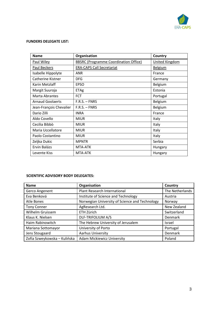

#### **FUNDERS DELEGATE LIST:**

| <b>Name</b>             | Organisation                                 | Country        |
|-------------------------|----------------------------------------------|----------------|
| Paul Wiley              | <b>BBSRC (Programme Coordination Office)</b> | United Kingdom |
| Paul Beckers            | <b>ERA-CAPS Call Secretariat</b>             | <b>Belgium</b> |
| Isabelle Hippolyte      | <b>ANR</b>                                   | France         |
| Catherine Kistner       | <b>DFG</b>                                   | Germany        |
| Karin Metzlaff          | <b>EPSO</b>                                  | Belgium        |
| Margit Suuroja          | <b>ETAg</b>                                  | Estonia        |
| Marta Abrantes          | <b>FCT</b>                                   | Portugal       |
| <b>Arnaud Goolaerts</b> | $F.R.S. - FNRS$                              | Belgium        |
| Jean-François Chevalier | $F.R.S. - FNRS$                              | Belgium        |
| Dario Zilli             | <b>INRA</b>                                  | France         |
| Aldo Covello            | <b>MIUR</b>                                  | Italy          |
| Cecilia Bibbò           | <b>MIUR</b>                                  | Italy          |
| Maria Uccellatore       | <b>MIUR</b>                                  | Italy          |
| Paolo Costantino        | <b>MIUR</b>                                  | Italy          |
| Zeljka Dukic            | <b>MPNTR</b>                                 | Serbia         |
| Ervin Balázs            | MTA-ATK                                      | Hungary        |
| Levente Kiss            | MTA-ATK                                      | Hungary        |

#### **SCIENTIFIC ADVISORY BODY DELEGATES:**

| <b>Name</b>                  | Organisation                                   | Country         |
|------------------------------|------------------------------------------------|-----------------|
| Gerco Angenent               | Plant Research International                   | The Netherlands |
| Eva Benková                  | Institute of Science and Technology            | Austria         |
| Atle Bones                   | Norwegian University of Science and Technology | Norway          |
| <b>Tony Conner</b>           | AgResearch Ltd.                                | New Zealand     |
| Wilhelm Gruissem             | ETH Zürich                                     | Switzerland     |
| Klaus K. Nielsen             | <b>DLF-TRIFOLIUM A/S</b>                       | Denmark         |
| Haim Rabinowitch             | The Hebrew University of Jerusalem             | <b>Israel</b>   |
| Mariana Sottomayor           | University of Porto                            | Portugal        |
| Jens Stougaard               | Aarhus University                              | Denmark         |
| Zofia Szweykowska – Kulińska | <b>Adam Mickiewicz University</b>              | Poland          |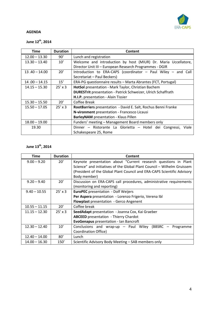

### **AGENDA**

# **June 12th, 2014**

| Time            | <b>Duration</b> | Content                                                              |
|-----------------|-----------------|----------------------------------------------------------------------|
| $12.00 - 13.30$ | 90'             | Lunch and registration                                               |
| $13.30 - 13.40$ | 10'             | Welcome and introduction by host (MIUR) Dr. Maria Uccellatore,       |
|                 |                 | Director Unit III - European Research Programmes - DGIR              |
| $13.40 - 14.00$ | 20'             | Introduction to ERA-CAPS (coordinator $-$ Paul Wiley $-$ and Call    |
|                 |                 | Secretariat – Paul Beckers)                                          |
| $14.00 - 14.15$ | 15'             | ERA-PG questionnaire results - Marta Abrantes (FCT, Portugal)        |
| $14.15 - 15.30$ | $25' \times 3$  | HotSol presentation - Mark Taylor, Christian Bachem                  |
|                 |                 | <b>DURESTrit</b> presentation - Patrick Schweizer, Ulrich Schaffrath |
|                 |                 | H.I.P. presentation - Alain Tissier                                  |
| $15.30 - 15.50$ | 20'             | Coffee Break                                                         |
| $15.50 - 17.05$ | $25' \times 3$  | RootBarriers presentation - David E. Salt, Rochus Benni Franke       |
|                 |                 | N-vironment presentation - Francesco Licausi                         |
|                 |                 | <b>BarleyNAM</b> presentation - Klaus Pillen                         |
| $18.00 - 19.00$ |                 | Funders' meeting – Management Board members only                     |
| 19.30           |                 | Dinner – Ristorante La Glorietta – Hotel dei Congressi,<br>Viale     |
|                 |                 | Schakespeare 25, Rome                                                |

### **June 13th, 2014**

| <b>Time</b>     | <b>Duration</b> | Content                                                                 |
|-----------------|-----------------|-------------------------------------------------------------------------|
| $9.00 - 9.20$   | 20'             | Keynote presentation about "Current research questions in Plant         |
|                 |                 | Science" and initiatives of the Global Plant Council - Wilhelm Gruissem |
|                 |                 | (President of the Global Plant Council and ERA-CAPS Scientific Advisory |
|                 |                 | Body member)                                                            |
| $9.20 - 9.40$   | 20'             | Discussion on ERA-CAPS call procedures, administrative requirements     |
|                 |                 | (monitoring and reporting)                                              |
| $9.40 - 10.55$  | $25' \times 3$  | <b>EuroPEC</b> presentation - Dolf Weijers                              |
|                 |                 | Per Aspera presentation - Lorenzo Frigerio, Verena Ibl                  |
|                 |                 | <b>Flowplast</b> presentation - Gerco Angenent                          |
| $10.55 - 11.15$ | 20'             | Coffee break                                                            |
| $11.15 - 12.30$ | $25' \times 3$  | SeedAdapt presentation - Joanna Cox, Kai Graeber                        |
|                 |                 | <b>ABCEED</b> presentation - Thierry Chardot                            |
|                 |                 | EvoGenapus presentation - Ian Bancroft                                  |
| $12.30 - 12.40$ | 10'             | Conclusions and wrap-up - Paul Wiley (BBSRC - Programme                 |
|                 |                 | Coordination Office)                                                    |
| $12.40 - 14.00$ | 80'             | Lunch                                                                   |
| $14.00 - 16.30$ | 150'            | Scientific Advisory Body Meeting – SAB members only                     |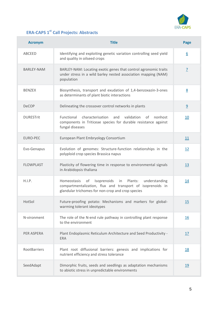

# **ERA-CAPS 1st Call Projects: Abstracts**

| <b>Acronym</b>    | <b>Title</b>                                                                                                                                                                       | Page             |
|-------------------|------------------------------------------------------------------------------------------------------------------------------------------------------------------------------------|------------------|
| ABCEED            | Identifying and exploiting genetic variation controlling seed yield<br>and quality in oilseed crops                                                                                | $6 \overline{6}$ |
| <b>BARLEY-NAM</b> | BARLEY-NAM: Locating exotic genes that control agronomic traits<br>under stress in a wild barley nested association mapping (NAM)<br>population                                    | $\overline{1}$   |
| <b>BENZEX</b>     | Biosynthesis, transport and exudation of 1,4-benzoxazin-3-ones<br>as determinants of plant biotic interactions                                                                     | 8                |
| <b>DeCOP</b>      | Delineating the crossover control networks in plants                                                                                                                               | $\overline{9}$   |
| <b>DURESTrit</b>  | Functional<br>characterisation<br>validation<br>and<br>of<br>nonhost<br>components in Triticeae species for durable resistance against<br>fungal diseases                          | 10               |
| <b>EURO-PEC</b>   | European Plant Embryology Consortium                                                                                                                                               | 11               |
| Evo-Genapus       | Evolution of genomes: Structure-function relationships in the<br>polyploid crop species Brassica napus                                                                             | 12               |
| <b>FLOWPLAST</b>  | Plasticity of flowering time in response to environmental signals<br>in Arabidopsis thaliana                                                                                       | 13               |
| H.I.P.            | Isoprenoids in<br>of<br>Plants:<br>understanding<br>Homeostasis<br>compartmentalization, flux and transport of isoprenoids in<br>glandular trichomes for non-crop and crop species | 14               |
| HotSol            | Future-proofing potato: Mechanisms and markers for global-<br>warming tolerant ideotypes                                                                                           | 15               |
| N-vironment       | The role of the N-end rule pathway in controlling plant response<br>to the environment                                                                                             | <u>16</u>        |
| PER ASPERA        | Plant Endoplasmic Reticulum Architecture and Seed Productivity -<br><b>ERA</b>                                                                                                     | <u>17</u>        |
| RootBarriers      | Plant root diffusional barriers: genesis and implications for<br>nutrient efficiency and stress tolerance                                                                          | <u>18</u>        |
| SeedAdapt         | Dimorphic fruits, seeds and seedlings as adaptation mechanisms<br>to abiotic stress in unpredictable environments                                                                  | 19               |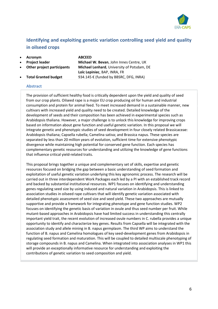

# **Identifying and exploiting genetic variation controlling seed yield and quality in oilseed crops**

 **Acronym ABCEED Project leader Michael W. Bevan**, John Innes Centre, UK **Other project participants Michael Lenhard**, University of Potsdam, DE **Loïc Lepiniec**, BAP, INRA, FR **Total Granted budget** 934.145 € (funded by BBSRC, DFG, INRA)

#### **Abstract**

The provision of sufficient healthy food is critically dependent upon the yield and quality of seed from our crop plants. Oilseed rape is a major EU crop producing oil for human and industrial consumption and protein for animal feed. To meet increased demand in a sustainable manner, new cultivars with increased yield and quality need to be created. Detailed knowledge of the development of seeds and their composition has been achieved in experimental species such as Arabidopsis thaliana. However, a major challenge is to unlock this knowledge for improving crops based on information about gene function and useful genetic variation. In this proposal we will integrate genetic and phenotypic studies of seed development in four closely related Brassicaceae: Arabidopsis thaliana; Capsella rubella; Camelina sativa; and Brassica napus. These species are separated by less than 20 million years of evolution, sufficient time for extensive phenotypic divergence while maintaining high potential for conserved gene function. Each species has complementary genetic resources for understanding and utilizing the knowledge of gene functions that influence critical yield-related traits.

This proposal brings together a unique and complementary set of skills, expertise and genetic resources focused on bridging the gap between a basic understanding of seed formation and exploitation of useful genetic variation underlying this key agronomic process. The research will be carried out in three interdependent Work Packages each led by a PI with an established track record and backed by substantial institutional resources. WP1 focuses on identifying and understanding genes regulating seed size by using induced and natural variation in Arabidopsis. This is linked to association studies in oilseed rape cultivars that will identify genetic variation associated with detailed phenotypic assessment of seed size and seed yield. These two approaches are mutually supportive and provide a framework for integrating phenotype and gene function studies. WP2 focuses on identifying the genetic basis of variation in ovule and thus seed number per fruit. While mutant-based approaches in Arabidopsis have had limited success in understanding this centrally important yield trait, the recent evolution of increased ovule numbers in C. rubella provides a unique opportunity to identify and characterize key genes. Results from Capsella will be integrated with the association study and allele mining in B. napus germplasm. The third WP aims to understand the function of B. napus and Camelina homologues of key seed-development genes from Arabidopsis in regulating seed formation and maturation. This will be coupled to detailed multiscale phenotyping of storage compounds in B. napus and Camelina. When integrated into association analyses in WP1 this will provide an exceptionally informative resource for understanding and exploiting the contributions of genetic variation to seed composition and yield.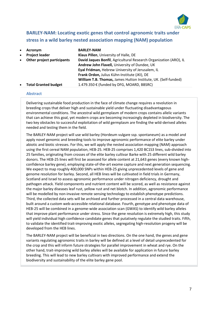

## **BARLEY-NAM: Locating exotic genes that control agronomic traits under stress in a wild barley nested association mapping (NAM) population**

| $\bullet$ | <b>Acronym</b>              | <b>BARLEY-NAM</b>                                                 |
|-----------|-----------------------------|-------------------------------------------------------------------|
| $\bullet$ | <b>Project leader</b>       | Klaus Pillen, University of Halle, DE                             |
| $\bullet$ | Other project participants  | David Jaques Bonfil, Agricultural Research Organization (ARO), IL |
|           |                             | Andrew John Flavell, University of Dundee, UK                     |
|           |                             | Eyal Fridman, Hebrew University of Jerusalem, IL                  |
|           |                             | Frank Ordon, Julius Kühn-Institute (JKI), DE                      |
|           |                             | William T.B. Thomas, James Hutton Institute, UK. (Self-funded)    |
| $\bullet$ | <b>Total Granted budget</b> | 1.479.350 € (funded by DFG, MOARD, BBSRC)                         |

#### **Abstract**

Delivering sustainable food production in the face of climate change requires a revolution in breeding crops that deliver high and sustainable yield under fluctuating disadvantageous environmental conditions. The ancestral wild germplasm of modern crops contains allelic variants that can achieve this goal, yet modern crops are becoming increasingly depleted in biodiversity. The two key obstacles to successful exploitation of wild germplasm are finding the wild-derived alleles needed and testing them in the field.

The BARLEY-NAM project will use wild barley (Hordeum vulgare ssp. spontaneum) as a model and apply novel genomic and breeding tools to improve agronomic performance of elite barley under abiotic and biotic stresses. For this, we will apply the nested association mapping (NAM) approach using the first cereal NAM population, HEB-25. HEB-25 comprises 1,420 BC1S3 lines, sub-divided into 25 families, originating from crosses of the elite barley cultivar Barke with 25 different wild barley donors. The HEB-25 lines will first be assessed for allele content at 21,643 genes (every known highconfidence barley gene), employing state-of-the-art exome capture and next generation sequencing. We expect to map roughly 400,000 SNPs within HEB-25 giving unprecedented levels of gene and genome resolution for barley. Second, all HEB lines will be cultivated in field trials in Germany, Scotland and Israel to assess agronomic performance under nitrogen deficiency, drought and pathogen attack. Yield components and nutrient content will be scored, as well as resistance against the major barley diseases leaf rust, yellow rust and net blotch. In addition, agronomic performance will be modelled by non-invasive remote sensing technology to establish phenotype predictions. Third, the collected data sets will be archived and further processed in a central data warehouse, built around a custom web-accessible relational database. Fourth, genotype and phenotype data of HEB-25 will be combined in a genome-wide association scan (GWAS) to identify wild barley alleles that improve plant performance under stress. Since the gene resolution is extremely high, this study will yield individual high confidence candidate genes that putatively regulate the studied traits. Fifth, to validate the identified trait-improving exotic alleles, segregating high-resolution progeny will be developed from the HEB lines.

The BARLEY-NAM project will be beneficial in two directions. On the one hand, the genes and gene variants regulating agronomic traits in barley will be defined at a level of detail unprecedented for the crop and this will inform future strategies for parallel improvement in wheat and rye. On the other hand, trait-improving wild barley alleles will be available for application in future barley breeding. This will lead to new barley cultivars with improved performance and extend the biodiversity and sustainability of the elite barley gene pool.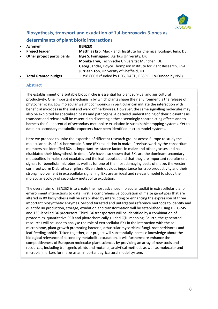

# **Biosynthesis, transport and exudation of 1,4-benzoxazin-3-ones as determinants of plant biotic interactions**

| $\bullet$ | Acronym                     | <b>BENZEX</b>                                                     |
|-----------|-----------------------------|-------------------------------------------------------------------|
| $\bullet$ | <b>Project leader</b>       | Matthias Erb, Max Planck Institute for Chemical Ecology, Jena, DE |
| $\bullet$ | Other project participants  | Inge S. Fomsgaard, Aarhus University, DK                          |
|           |                             | Monika Frey, Technische Universität München, DE                   |
|           |                             | Georg Jander, Boyce Thompson Institute for Plant Research, USA    |
|           |                             | Jurriaan Ton, University of Sheffield, UK                         |
| $\bullet$ | <b>Total Granted budget</b> | 1.398.600 € (funded by DFG, DASTI, BBSRC. Co-Funded by NSF)       |

#### **Abstract**

The establishment of a suitable biotic niche is essential for plant survival and agricultural productivity. One important mechanism by which plants shape their environment is the release of phytochemicals. Low molecular weight compounds in particular can initiate the interaction with beneficial microbes in the soil and ward off herbivores. However, the same signalling molecules may also be exploited by specialized pests and pathogens. A detailed understanding of their biosynthesis, transport and release will be essential to disentangle these seemingly contradicting effects and to harness the full potential of secondary metabolite exudation in sustainable cropping systems. Yet to date, no secondary metabolite exporters have been identified in crop model systems.

Here we propose to unite the expertise of different research groups across Europe to study the molecular basis of 1,4-benzoxazin-3-one (BX) exudation in maize. Previous work by the consortium members has identified BXs as important resistance factors in maize and other grasses and has elucidated their biosynthesis in detail. We have also shown that BXs are the dominant secondary metabolites in maize root exudates and the leaf-apoplast and that they are important recruitment signals for beneficial microbes as well as for one of the most damaging pests of maize, the western corn rootworm Diabrotica virgifera. Given their obvious importance for crop productivity and their strong involvement in extracellular signalling, BXs are an ideal and relevant model to study the molecular ecology of secondary metabolite exudation.

The overall aim of BENZEX is to create the most advanced molecular toolkit in extracellular plantenvironment interactions to date. First, a comprehensive population of maize genotypes that are altered in BX biosynthesis will be established by interrupting or enhancing the expression of three important biosynthetic enzymes. Second targeted and untargeted reference methods to identify and quantify BX production, storage, exudation and transformation will be established using HPLC-MS and 13C-labelled BX precursors. Third, BX transporters will be identified by a combination of proteomics, quantitative PCR and phytochemically guided QTL-mapping. Fourth, the generated resources will be used to analyse the role of extracellular BXs in the interaction with the soil microbiome, plant growth promoting bacteria, arbuscular mycorrhizal fungi, root herbivores and leaf-feeding aphids. Taken together, our project will substantially increase knowledge about the biological relevance of secondary metabolite exudation. It will furthermore enhance the competitiveness of European molecular plant sciences by providing an array of new tools and resources, including transgenic plants and mutants, analytical methods as well as molecular and microbial markers for maize as an important agricultural model system.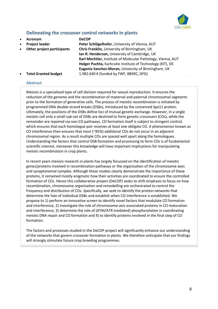

### **Delineating the crossover control networks in plants**

- **Acronym DeCOP**
- 
- 

 **Project leader Peter Schlögelhofer**, University of Vienna, AUT **Other project participants Chris Franklin,** University of Birmingham, UK **Ian R. Henderson,** University of Cambridge, UK **Karl Mechtler,** Institute of Molecular Pathology, Vienna, AUT **Holger Puchta,** Karlsruhe Institute of Technology (KIT), DE **Eugenio Sanchez-Moran,** University of Birmingham, UK **Total Granted budget** 1.982.640 € (funded by FWF, BBSRC, DFG)

#### **Abstract**

Meiosis is a specialized type of cell division required for sexual reproduction. It ensures the reduction of the genome and the recombination of maternal and paternal chromosomal segments prior to the formation of generative cells. The process of meiotic recombination is initiated by programmed DNA double-strand breaks (DSBs), introduced by the conserved Spo11 protein. Ultimately, the positions of the DSBs define loci of mutual genetic exchange. However, in a single meiotic cell only a small sub-set of DSBs are destined to form genetic crossovers (COs), while the remainder are repaired via non-CO pathways. CO formation itself is subject to stringent control, which ensures that each homologue pair receives at least one obligate CO. A phenomenon known as CO interference then ensures that most (~85%) additional COs do not occur in an adjacent chromosomal region. As a result multiple COs are spaced well apart along the homologues. Understanding the factors that control DSB formation and processing to form COs is of fundamental scientific interest, moreover this knowledge will have important implications for manipulating meiotic recombination in crop plants.

In recent years meiosis research in plants has largely focussed on the identification of meiotic genes/proteins involved in recombination pathways or the organization of the chromosome axes and synaptonemal complex. Although these studies clearly demonstrate the importance of these proteins, it remained mostly enigmatic how their activities are coordinated to ensure the controlled formation of COs. Hence this collaborative project (DeCOP) seeks to shift emphasis to focus on how recombination, chromosome organisation and remodelling are orchestrated to control the frequency and distribution of COs. Specifically, we seek to identify the protein networks that determine the fate of individual DSBs and establish when CO interference is established. We propose to 1) perform an innovative screen to identify novel factors that modulate CO formation and interference, 2) investigate the role of chromosome axis-associated proteins in CO maturation and interference, 3) determine the role of (ATM/ATR mediated) phosphorylation in coordinating meiotic DNA repair and CO formation and 4) to identify proteins involved in the final step of CO formation.

The factors and processes studied in the DeCOP project will significantly enhance our understanding of the networks that govern crossover formation in plants. We therefore anticipate that our findings will strongly stimulate future crop breeding programmes.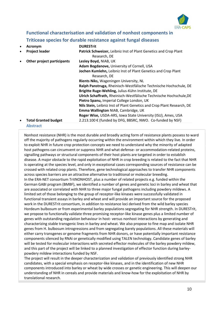

**Functional characterisation and validation of nonhost components in Triticeae species for durable resistance against fungal diseases**

| $\bullet$ | Acronym                     | <b>DURESTrit</b>                                                       |
|-----------|-----------------------------|------------------------------------------------------------------------|
| $\bullet$ | <b>Project leader</b>       | Patrick Schweizer, Leibniz Inst of Plant Genetics and Crop Plant       |
|           |                             | Research, DE                                                           |
| ٠         | Other project participants  | Lesley Boyd, NIAB, UK                                                  |
|           |                             | Adam Bogdanove, University of Cornell, USA                             |
|           |                             | Jochen Kumlehn, Leibniz Inst of Plant Genetics and Crop Plant          |
|           |                             | Research, DE                                                           |
|           |                             | Rients Niks, Wageningen University, NL                                 |
|           |                             | Ralph Panstruga, Rheinisch-Westfälische Technische Hochschule, DE      |
|           |                             | Brigitte Ruge-Wehling, Julius-Kühn Institute, DE                       |
|           |                             | Ulrich Schaffrath, Rheinisch-Westfälische Technische Hochschule, DE    |
|           |                             | Pietro Spanu, Imperial College London, UK                              |
|           |                             | Nils Stein, Leibniz Inst of Plant Genetics and Crop Plant Research, DE |
|           |                             | Emma Wallington NIAB, Cambridge, UK                                    |
|           |                             | Roger Wise, USDA-ARS, Iowa State University (ISU), Ames, USA           |
| $\bullet$ | <b>Total Granted budget</b> | 2.213.100 € (funded by DFG, BBSRC, NWO. Co-funded by NSF)              |
|           |                             |                                                                        |

#### **Abstract**

Nonhost resistance (NHR) is the most durable and broadly acting form of resistance plants possess to ward off the majority of pathogens regularly occurring within the environment within which they live. In order to exploit NHR in future crop protection concepts we need to understand why the minority of adapted host pathogens can circumvent or suppress NHR and what defense- or accommodation-related proteins, signalling pathways or structural components of their host plants are targeted in order to establish disease. A major obstacle to the rapid exploitation of NHR in crop breeding is related to the fact that NHR is operating at the species level, and only in exceptional cases corresponding sources of resistance can be crossed with related crop plants. Therefore, gene technological approaches to transfer NHR components across species barriers are an attractive alternative to traditional or molecular breeding. In the ERA-NET consortium TritNONHOST, plus a number of related projects e.g. funded within the German GABI program (BMBF), we identified a number of genes and genetic loci in barley and wheat that are associated or correlated with NHR to three major fungal pathogens including powdery mildews. A limited set of those belonging to the group of receptor-like kinases were successfully validated in functional transient assays in barley and wheat and will provide an important source for the proposed work in the DURESTrit consortium, in addition to resistance loci derived from the wild barley species Hordeum bulbosum or from experimental barley populations segregating for NHR strength. In DURESTrit, we propose to functionally validate three promising receptor-like kinase genes plus a limited number of genes with outstanding regulation behaviour in host- versus nonhost interactions by generating and characterizing stable transgenic lines in barley and wheat. We also propose to fine map and isolate NHR genes from H. bulbosum introgressions and from segregating barely populations. All these materials will either carry transgenes or genome fragments from NHR donors, or have potentially important resistance components silenced by RNAi or genetically modified using TALEN technology. Candidate genes of barley will be tested for molecular interactions with secreted effector molecules of the barley powdery mildew, and this part of the project will be linked to a planned investigation of effector function during barleypowdery mildew interactions funded by NSF.

The project will result in the deeper characterization and validation of previously identified strong NHR candidates, with a special emphasis on receptor-like kinases, and in the identification of new NHR components introduced into barley or wheat by wide crosses or genetic engineering. This will deepen our understanding of NHR in cereals and provide materials and know-how for the exploitation of NHR by translational research.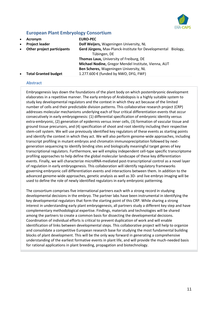

### **European Plant Embryology Consortium**

| $\bullet$<br>$\bullet$<br>$\bullet$ | Acronym<br><b>Project leader</b><br>Other project participants | <b>EURO-PEC</b><br>Dolf Weijers, Wageningen University, NL<br>Gerd Jürgens, Max-Planck-Institute for Developmental Biology,<br>Tübingen, DE                                        |
|-------------------------------------|----------------------------------------------------------------|------------------------------------------------------------------------------------------------------------------------------------------------------------------------------------|
| $\bullet$                           | <b>Total Granted budget</b>                                    | Thomas Laux, University of Freiburg, DE<br>Michael Nodine, Gregor Mendel Institute, Vienna, AUT<br>Ben Scheres, Wageningen University, NL<br>1.277.600 € (funded by NWO, DFG, FWF) |

#### **Abstract**

Embryogenesis lays down the foundations of the plant body on which postembryonic development elaborates in a repetitive manner. The early embryo of Arabidopsis is a highly suitable system to study key developmental regulators and the context in which they act because of the limited number of cells and their predictable division patterns. This collaborative research project (CRP) addresses molecular mechanisms underlying each of four critical differentiation events that occur consecutively in early embryogenesis: (1) differential specification of embryonic identity versus extra-embryonic, (2) generation of epidermis versus inner cells, (3) formation of vascular tissue and ground tissue precursors, and (4) specification of shoot and root identity including their respective stem-cell system. We will use previously identified key regulators of these events as starting points and identify the context in which they act. We will also perform genome-wide approaches, including transcript profiling in mutant embryos and chromatin immunoprecipitation followed by nextgeneration sequencing to identify binding sites and biologically meaningful target genes of key transcriptional regulators. Furthermore, we will employ independent cell-type specific transcriptome profiling approaches to help define the global molecular landscape of these key differentiation events. Finally, we will characterize microRNA-mediated post-transcriptional control as a novel layer of regulation in early embryogenesis. This collaboration will identify regulatory frameworks governing embryonic cell differentiation events and interactions between them. In addition to the advanced genome-wide approaches, genetic analysis as well as 3D- and live embryo imaging will be used to define the role of newly identified regulators in early embryonic patterning.

The consortium comprises five international partners each with a strong record in studying developmental decisions in the embryo. The partner labs have been instrumental in identifying the key developmental regulators that form the starting point of this CRP. While sharing a strong interest in understanding early plant embryogenesis, all partners study a different key step and have complementary methodological expertise. Findings, materials and technologies will be shared among the partners to create a common basis for dissecting the developmental decisions. Coordination of individual efforts is critical to prevent duplication of work and will enable identification of links between developmental steps. This collaborative project will help to organize and consolidate a competitive European research base for studying the most fundamental building blocks of plant development. This will be the only way forward in generating a comprehensive understanding of the earliest formative events in plant life, and will provide the much-needed basis for rational applications in plant breeding, propagation and biotechnology.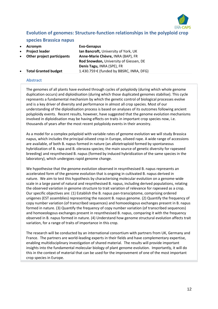

### **Evolution of genomes: Structure-function relationships in the polyploid crop**

#### **species Brassica napus**

- **Acronym Evo-Genapus**
- 
- 

 **Project leader Ian Bancroft,** University of York, UK **Other project participants Anne-Marie Chèvre,** INRA (BAP), FR **Rod Snowdon,** University of Giessen, DE **Denis Tagu,** INRA (SPE), FR **Total Granted budget** 1.430.759 € (funded by BBSRC, INRA, DFG)

**Abstract**

The genomes of all plants have evolved through cycles of polyploidy (during which whole genome duplication occurs) and diploidisation (during which those duplicated genomes stabilise). This cycle represents a fundamental mechanism by which the genetic control of biological processes evolve and is a key driver of diversity and performance in almost all crop species. Most of our understanding of the diploidisation process is based on analyses of its outcomes following ancient polyploidy events. Recent results, however, have suggested that the genome evolution mechanisms involved in diploidisation may be having effects on traits in important crop species now, i.e. thousands of years after the most recent polyploidy events in their ancestry.

As a model for a complex polyploid with variable rates of genome evolution we will study Brassica napus, which includes the principal oilseed crop in Europe, oilseed rape. A wide range of accessions are available, of both B. napus formed in nature (an allotetraploid formed by spontaneous hybridization of B. rapa and B. oleracea species; the main source of genetic diversity for rapeseed breeding) and resynthesised B. napus (formed by induced hybridization of the same species in the laboratory), which undergoes rapid genome change.

We hypothesise that the genome evolution observed in resynthesised B. napus represents an accelerated form of the genome evolution that is ongoing in cultivated B. napus derived in nature. We aim to test this hypothesis by characterising molecular evolution on a genome-wide scale in a large panel of natural and resynthesised B. napus, including derived populations, relating the observed variation in genome structure to trait variation of relevance for rapeseed as a crop. Our specific objectives are: (1) Establish the B. napus pan-transciptome, comprising ordered unigenes (EST assemblies) representing the nascent B. napus genome. (2) Quantify the frequency of copy number variation (of transcribed sequences) and homoeologous exchanges present in B. napus formed in nature. (3) Quantify the frequency of copy number variation (of transcribed sequences) and homoeologous exchanges present in resynthesised B. napus, comparing it with the frequency observed in B. napus formed in nature. (4) Understand how genome structural evolution affects trait variation, for a range of traits of importance in this crop.

The research will be conducted by an international consortium with partners from UK, Germany and France. The partners are world-leading experts in their fields and have complementary expertise, enabling multidisciplinary investigation of shared material. The results will provide important insights into the fundamental molecular biology of plant genome evolution. Importantly, it will do this in the context of material that can be used for the improvement of one of the most important crop species in Europe.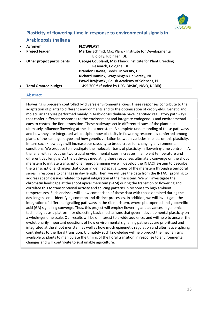

# **Plasticity of flowering time in response to environmental signals in Arabidopsis thaliana**

| $\bullet$ | Acronym                     | <b>FLOWPLAST</b>                                         |
|-----------|-----------------------------|----------------------------------------------------------|
| $\bullet$ | <b>Project leader</b>       | Markus Schmid, Max Planck Institute for Developmental    |
|           |                             | Biology, Tübingen, DE                                    |
| $\bullet$ | Other project participants  | George Coupland, Max Planck Institute for Plant Breeding |
|           |                             | Research, Cologne, DE                                    |
|           |                             | Brandon Davies, Leeds University, UK                     |
|           |                             | Richard Immink, Wageningen University, NL                |
|           |                             | Pawel Krajewski, Polish Academy of Sciences, PL          |
| $\bullet$ | <b>Total Granted budget</b> | 1.495.700 € (funded by DFG, BBSRC, NWO, NCBiR)           |

#### **Abstract**

Flowering is precisely controlled by diverse environmental cues. These responses contribute to the adaptation of plants to different environments and to the optimisation of crop yields. Genetic and molecular analyses performed mainly in Arabidopsis thaliana have identified regulatory pathways that confer different responses to the environment and integrate endogenous and environmental cues to control the floral transition. These pathways act in different tissues of the plant but ultimately influence flowering at the shoot meristem. A complete understanding of these pathways and how they are integrated will decipher how plasticity in flowering response is conferred among plants of the same genotype and how genetic variation between varieties impacts on this plasticity. In turn such knowledge will increase our capacity to breed crops for changing environmental conditions. We propose to investigate the molecular basis of plasticity in flowering-time control in A. thaliana, with a focus on two crucial environmental cues, increases in ambient temperature and different day lengths. As the pathways mediating these responses ultimately converge on the shoot meristem to initiate transcriptional reprogramming we will develop the INTACT system to describe the transcriptional changes that occur in defined spatial zones of the meristem through a temporal series in response to changes in day length. Then, we will use the data from the INTACT profiling to address specific issues related to signal integration at the meristem. We will investigate the chromatin landscape at the shoot apical meristem (SAM) during the transition to flowering and correlate this to transcriptional activity and splicing patterns in response to high ambient temperatures. Such analyses will allow comparison of these data with those obtained during the day-length series identifying common and distinct processes. In addition, we will investigate the integration of different signalling pathways in the rib meristem, where photoperiod and gibberellic acid (GA) signalling converge. Thus, this project will employ flowering and advances in genomic technologies as a platform for dissecting basic mechanisms that govern developmental plasticity on a whole-genome scale. Our results will be of interest to a wide audience, and will help to answer the evolutionarily important questions of how environmental signalling pathways are prioritized and integrated at the shoot meristem as well as how much epigenetic regulation and alternative splicing contributes to the floral transition. Ultimately such knowledge will help predict the mechanisms available to plants to manipulate the timing of the floral transition in response to environmental changes and will contribute to sustainable agriculture.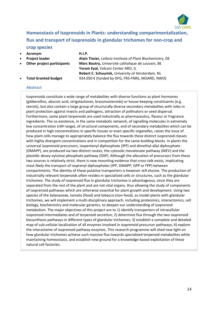

# **Homeostasis of Isoprenoids in Plants: understanding compartmentalization, flux and transport of isoprenoids in glandular trichomes for non-crop and crop species**

**Acronym H.I.P.** 

 **Project leader Alain Tissier,** Leibniz-Institute of Plant Biochemistry, DE **Other project participants Marc Boutry,** Université catholique de Louvain, BE **Yoram Eyal,** Volcani Center ARO, IL **Robert C. Schuurink,** University of Amsterdam, NL **Total Granted budget** 934.050 € (funded by DFG, FRS-FNRS, MOARD, NWO)

#### **Abstract**

Isoprenoids constitute a wide range of metabolites with diverse functions as plant hormones (gibberellins, abscisic acid, strigolactones, brassinosteroids) or house-keeping constituents (e.g. sterols), but also contain a large group of structurally diverse secondary metabolites with roles in plant protection against insects and pathogens, attraction of pollinators or seed dispersal. Furthermore, some plant terpenoids are used industrially as pharmaceutics, flavour or fragrance ingredients. The co-existence, in the same metabolic network, of signalling molecules in extremely low concentration (nM range), of structural components, and of secondary metabolites which can be produced in high concentrations in specific tissues or even specific organelles, raises the issue of how plant cells manage to appropriately balance the flux towards these distinct isoprenoid classes with highly divergent concentrations and in competition for the same building blocks. In plants the universal isoprenoid precursors, isopentenyl diphosphate (IPP) and dimethyl-allyl diphosphate (DMAPP), are produced via two distinct routes, the cytosolic mevalonate pathway (MEV) and the plastidic deoxy-xylulose phosphate pathway (DXP). Although the allocation of precursors from these two sources is relatively strict, there is now mounting evidence that cross-talk exists, implicating most likely the transport of isoprenyl diphosphates (IPP, DMAPP, GPP or FPP) between compartments. The identity of these putative transporters is however still elusive. The production of industrially relevant terpenoids often resides in specialized cells or structures, such as the glandular trichomes. The study of isoprenoid flux in glandular trichomes is advantageous, since they are separated from the rest of the plant and are not vital organs, thus allowing the study of components of isoprenoid pathways which are otherwise essential for plant growth and development. Using two species of the Solanaceae, tomato (food) and tobacco (non-food), as model plants with glandular trichomes, we will implement a multi-disciplinary approach, including proteomics, interactomics, cell biology, biochemistry and molecular genetics, to deepen our understanding of isoprenoid metabolism. The major objectives of this project are to 1) identify transporters of intracellular isoprenoid intermediates and of terpenoid secretion; 2) determine flux through the two isoprenoid biosynthesis pathways in different types of glandular trichomes; 3) establish a complete and detailed map of sub-cellular localization of all enzymes involved in isoprenoid precursor pathways; 4) explore the interactome of isoprenoid pathway enzymes. This research programme will shed new light on how glandular trichomes achieve such massive flux towards specialized terpenoid metabolites while maintaining homeostasis, and establish new ground for a knowledge-based exploitation of these natural cell factories.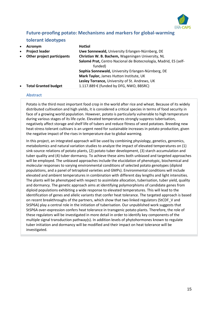

### **Future-proofing potato: Mechanisms and markers for global-warming tolerant ideotypes**

| $\bullet$<br>$\bullet$ | Acronym<br><b>Project leader</b> | <b>HotSol</b><br>Uwe Sonnewald, University Erlangen-Nürnberg, DE                                                                 |
|------------------------|----------------------------------|----------------------------------------------------------------------------------------------------------------------------------|
| $\bullet$              | Other project participants       | Christian W. B. Bachem, Wageningen University, NL<br>Salomé Prat, Centro Nacional de Biotecnología, Madrid, ES (self-<br>funded) |
|                        |                                  | Sophia Sonnewald, University Erlangen-Nürnberg, DE                                                                               |
|                        |                                  | Mark Taylor, James Hutton Institute, UK                                                                                          |
|                        |                                  | Lesley Torrance, University of St. Andrews, UK                                                                                   |
| $\bullet$              | <b>Total Granted budget</b>      | 1.117.889 € (funded by DFG, NWO, BBSRC)                                                                                          |

#### **Abstract**

Potato is the third most important food crop in the world after rice and wheat. Because of its widely distributed cultivation and high yields, it is considered a critical species in terms of food security in face of a growing world population. However, potato is particularly vulnerable to high temperature during various stages of its life cycle. Elevated temperatures strongly suppress tuberisation, negatively affect storage and shelf life of tubers and reduce fitness of seed potatoes. Breeding new heat-stress tolerant cultivars is an urgent need for sustainable increases in potato production, given the negative impact of the rises in temperature due to global warming.

In this project, an integrated approach will be used by combining physiology, genetics, genomics, metabolomics and natural variation studies to analyze the impact of elevated temperatures on (1) sink-source relations of potato plants, (2) potato tuber development, (3) starch accumulation and tuber quality and (4) tuber dormancy. To achieve these aims both unbiased and targeted approaches will be employed. The unbiased approaches include the elucidation of phenotypic, biochemical and molecular responses to varying environmental conditions of selected potato genotypes (diploid populations, and a panel of tetraploid varieties and GMPs). Environmental conditions will include elevated and ambient temperatures in combination with different day lengths and light intensities. The plants will be phenotyped with respect to assimilate allocation, tuberisation, tuber yield, quality and dormancy. The genetic approach aims at identifying polymorphisms of candidate genes from diploid populations exhibiting a wide response to elevated temperatures. This will lead to the identification of genes and allelic variants that confer heat tolerance. The targeted approach is based on recent breakthroughs of the partners, which show that two linked regulators (StCDF\_V and StSP6A) play a central role in the initiation of tuberisation. Our unpublished work suggests that StSP6A over-expression confers heat tolerance in transgenic potato plants. Therefore, the role of these regulators will be investigated in more detail in order to identify key components of the multiple signal transduction pathway(s). In addition levels of phytohormones known to regulate tuber initiation and dormancy will be modified and their impact on heat tolerance will be investigated.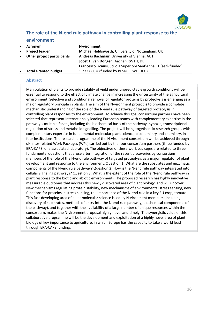

# **The role of the N-end rule pathway in controlling plant response to the**

#### **environment**

- **Acronym N-vironment**
- 
- 

 **Project leader Michael Holdsworth,** University of Nottingham, UK **Other project participants Andreas Bachmair, University of Vienna, AUT Joost T. van Dongen,** Aachen RWTH, DE **Francesco Licausi,** Scuola Superiore Sant'Anna, IT (self- funded) **Total Granted budget** 1.273.860 € (funded by BBSRC, FWF, DFG)

#### **Abstract**

Manipulation of plants to provide stability of yield under unpredictable growth conditions will be essential to respond to the effect of climate change in increasing the uncertainty of the agricultural environment. Selective and conditional removal of regulator proteins by proteolysis is emerging as a major regulatory principle in plants. The aim of the N-vironment project is to provide a complete mechanistic understanding of the role of the N-end rule pathway of targeted proteolysis in controlling plant responses to the environment. To achieve this goal consortium partners have been selected that represent internationally leading European teams with complementary expertise in the pathway´s multiple facets, including the biochemical basis of the pathway, hypoxia, transcriptional regulation of stress and metabolic signalling. The project will bring together six research groups with complementary expertise in fundamental molecular plant science, biochemistry and chemistry, in four institutions. The research programme of the N-vironment consortium will be achieved through six inter-related Work Packages (WPs) carried out by the four consortium partners (three funded by ERA-CAPS, one associated laboratory). The objectives of these work packages are related to three fundamental questions that arose after integration of the recent discoveries by consortium members of the role of the N-end rule pathway of targeted proteolysis as a major regulator of plant development and response to the environment. Question 1: What are the substrates and enzymatic components of the N-end rule pathway? Question 2: How is the N-end rule pathway integrated into cellular signaling pathways? Question 3: What is the extent of the role of the N-end rule pathway in plant response to the biotic and abiotic environment? The proposed research has highly innovative measurable outcomes that address this newly discovered area of plant biology, and will uncover: New mechanisms regulating protein stability, new mechanisms of environmental stress sensing, new functions for proteins in stress sensing, the importance of the N-end rule in a key EU crop, tomato. This fast-developing area of plant molecular science is led by N-vironment members (including discovery of substrates, methods of entry into the N-end rule pathway, biochemical components of the pathway), and together with the availability of a large number of unique resources within the consortium, makes the N-vironment proposal highly novel and timely. The synergistic value of this collaborative programme will be the development and exploitation of a highly novel area of plant biology of key importance to agriculture, in which Europe has the capacity to take a world lead through ERA-CAPS funding.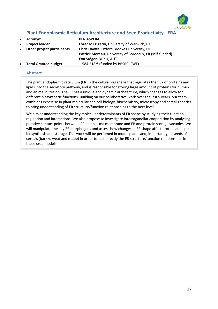

### **Plant Endoplasmic Reticulum Architecture and Seed Productivity - ERA**

- **Acronym PER ASPERA**
- 
- 

 **Project leader Lorenzo Frigerio,** University of Warwick, UK **Other project participants Chris Hawes,** Oxford Brookes University, UK **Patrick Moreau,** University of Bordeaux, FR (self-funded) **Eva Stöger,** BOKU, AUT **Total Granted budget** 1.584.218 € (funded by BBSRC, FWF)

#### **Abstract**

The plant endoplasmic reticulum (ER) is the cellular organelle that regulates the flux of proteins and lipids into the secretory pathway, and is responsible for storing large amount of proteins for human and animal nutrition. The ER has a unique and dynamic architecture, which changes to allow for different biosynthetic functions. Building on our collaborative work over the last 5 years, our team combines expertise in plant molecular and cell biology, biochemistry, microscopy and cereal genetics to bring understanding of ER structure/function relationships to the next level.

We aim at understanding the key molecular determinants of ER shape by studying their function, regulation and interactions. We also propose to investigate interorganellar cooperation by analysing putative contact points between ER and plasma membrane and ER and protein storage vacuoles. We will manipulate the key ER morphogens and assess how changes in ER shape affect protein and lipid biosynthesis and storage. This work will be perfomed in model plants and, importantly, in seeds of cereals (barley, weat and maize) in order to test directly the ER structure/function relationships in these crop models.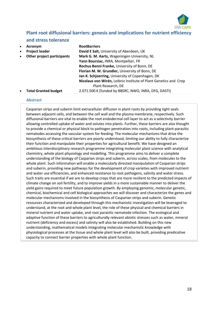

# **Plant root diffusional barriers: genesis and implications for nutrient efficiency**

#### **and stress tolerance**

|           | Acronym                     | <b>RootBarriers</b>                                              |
|-----------|-----------------------------|------------------------------------------------------------------|
| $\bullet$ | <b>Project leader</b>       | David E Salt, University of Aberdeen, UK                         |
|           | Other project participants  | Mark G. M. Aarts, Wageningen University, NL                      |
|           |                             | Yann Boursiac, INRA, Montpellier, FR                             |
|           |                             | Rochus Benni Franke, University of Bonn, DE                      |
|           |                             | Florian M. W. Grundler, University of Bonn, DE                   |
|           |                             | Jan K. Schjoerring, University of Copenhagen, DK                 |
|           |                             | Nicolaus von Wirén, Leibniz Institute of Plant Genetics and Crop |
|           |                             | Plant Research, DE                                               |
|           | <b>Total Granted budget</b> | 2.071.500 € (funded by BBSRC, NWO, INRA, DFG, DASTI)             |
|           |                             |                                                                  |

#### **Abstract**

Casparian strips and suberin limit extracellular diffusion in plant roots by providing tight seals between adjacent cells, and between the cell wall and the plasma membrane, respectively. Such diffusional barriers are vital to enable the root endodermal cell layer to act as a selectivity barrier allowing controlled uptake of water and solutes into plants. Further, these barriers are also thought to provide a chemical or physical block to pathogen penetration into roots, including plant-parasitic nematodes accessing the vascular system for feeding. The molecular mechanisms that drive the biosynthesis of these critical barriers are poorly understood, limiting our ability to fully characterize their function and manipulate their properties for agricultural benefit. We have designed an ambitious interdisciplinary research programme integrating molecular plant science with analytical chemistry, whole plant physiology and modelling. This programme aims to deliver a complete understanding of the biology of Casparian strips and suberin, across scales, from molecules to the whole plant. Such information will enable a molecularly directed manipulation of Casparian strips and suberin, providing new pathways for the development of crop varieties with improved nutrient and water use efficiencies, and enhanced resistance to root pathogens, salinity and water stress. Such traits are essential if we are to develop crops that are more resilient to the predicted impacts of climate change on soil fertility, and to improve yields in a more sustainable manner to deliver the yield gains required to meet future population growth. By employing genomic, molecular genetic, chemical, biochemical and cell biological approaches we will discover and characterize the genes and molecular mechanisms involved in the biosynthesis of Casparian strips and suberin. Genetic resources characterized and developed through this mechanistic investigation will be leveraged to understand, at the root and whole plant level, the role of these physical and chemical barriers in mineral nutrient and water uptake, and root parasitic nematode infection. The ecological and adaptive function of these barriers to agriculturally relevant abiotic stresses such as water, mineral nutrient (deficiency and excess) and salinity will also be established. Building on this new understanding, mathematical models integrating molecular mechanistic knowledge with physiological processes at the tissue and whole plant level will also be built, providing predicative capacity to connect barrier properties with whole plant function.